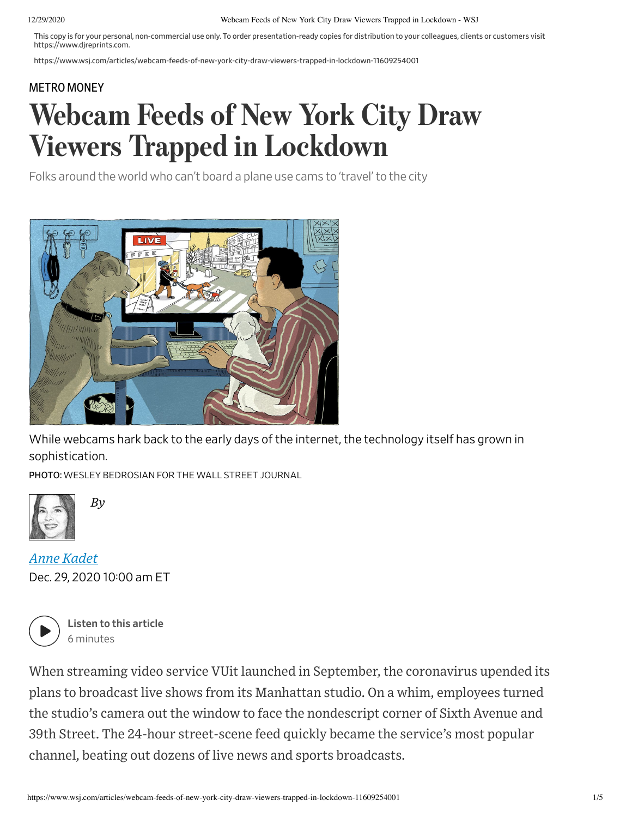This copy is for your personal, non-commercial use only. To order presentation-ready copies for distribution to your colleagues, clients or customers visit https://www.djreprints.com.

https://www.wsj.com/articles/webcam-feeds-of-new-york-city-draw-viewers-trapped-in-lockdown-11609254001

## METRO MONEY

## Webcam Feeds of New York City Draw Viewers Trapped in Lockdown

Folks around the world who can't board a plane use cams to 'travel' to the city



While webcams hark back to the early days of the internet, the technology itself has grown in sophistication.

PHOTO: WESLEY BEDROSIAN FOR THE WALL STREET JOURNAL



Dec. 29, 2020 10:00 am ET *Anne Kadet*

*By*



Listen to this article 6 minutes

When streaming video service VUit launched in September, the coronavirus upended its plans to broadcast live shows from its Manhattan studio. On a whim, employees turned the studio's camera out the window to face the nondescript corner of Sixth Avenue and 39th Street. The 24-hour street-scene feed quickly became the service's most popular channel, beating out dozens of live news and sports broadcasts.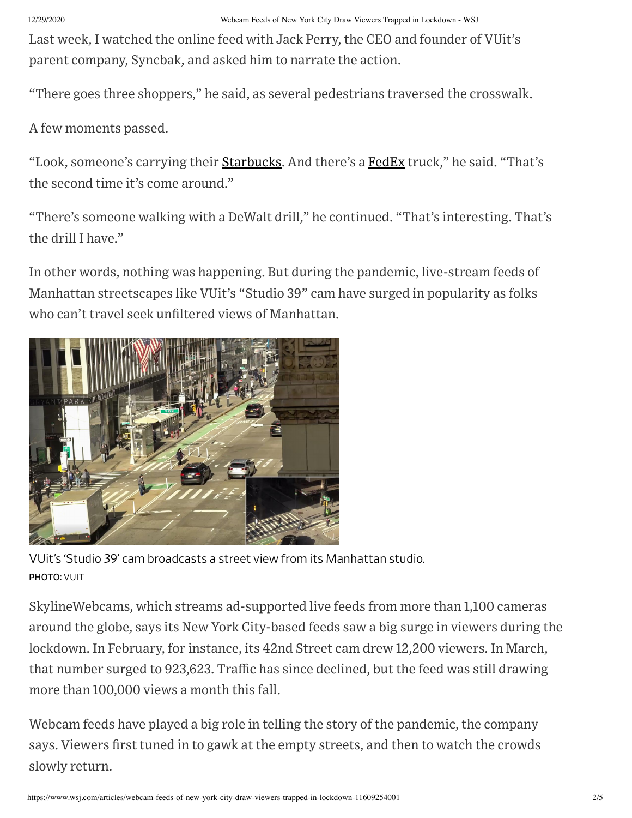Last week, I watched the online feed with Jack Perry, the CEO and founder of VUit's parent company, Syncbak, and asked him to narrate the action.

"There goes three shoppers," he said, as several pedestrians traversed the crosswalk.

A few moments passed.

"Look, someone's carrying their Starbucks. And there's a FedEx truck," he said. "That's the second time it's come around."

"There's someone walking with a DeWalt drill," he continued. "That's interesting. That's the drill I have."

In other words, nothing was happening. But during the pandemic, live-stream feeds of Manhattan streetscapes like VUit's "Studio 39" cam have surged in popularity as folks who can't travel seek unfiltered views of Manhattan.



VUit's 'Studio 39' cam broadcasts a street view from its Manhattan studio. PHOTO: VUIT

SkylineWebcams, which streams ad-supported live feeds from more than 1,100 cameras around the globe, says its New York City-based feeds saw a big surge in viewers during the lockdown. In February, for instance, its 42nd Street cam drew 12,200 viewers. In March, that number surged to 923,623. Traffic has since declined, but the feed was still drawing more than 100,000 views a month this fall.

Webcam feeds have played a big role in telling the story of the pandemic, the company says. Viewers first tuned in to gawk at the empty streets, and then to watch the crowds slowly return.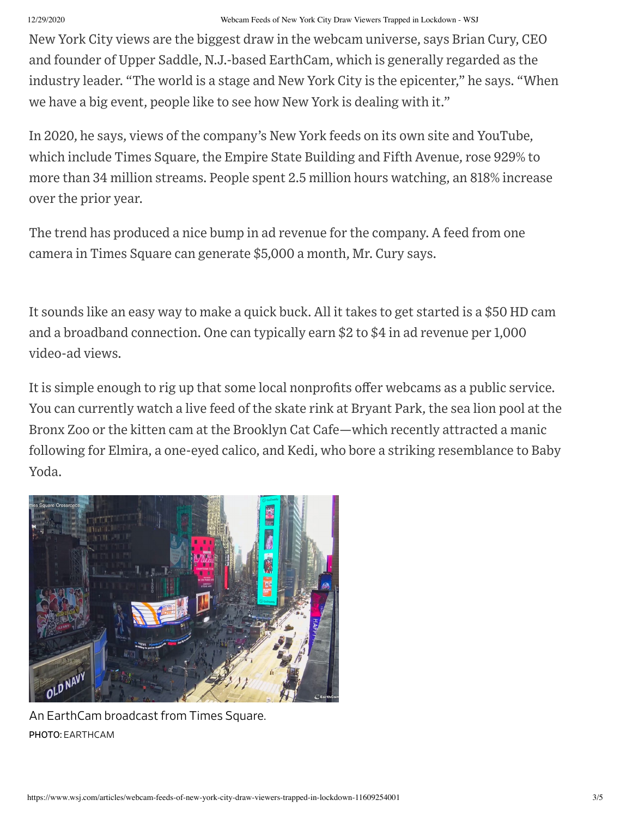New York City views are the biggest draw in the webcam universe, says Brian Cury, CEO and founder of Upper Saddle, N.J.-based EarthCam, which is generally regarded as the industry leader. "The world is a stage and New York City is the epicenter," he says. "When we have a big event, people like to see how New York is dealing with it."

In 2020, he says, views of the company's New York feeds on its own site and YouTube, which include Times Square, the Empire State Building and Fifth Avenue, rose 929% to more than 34 million streams. People spent 2.5 million hours watching, an 818% increase over the prior year.

The trend has produced a nice bump in ad revenue for the company. A feed from one camera in Times Square can generate \$5,000 a month, Mr. Cury says.

It sounds like an easy way to make a quick buck. All it takes to get started is a \$50 HD cam and a broadband connection. One can typically earn \$2 to \$4 in ad revenue per 1,000 video-ad views.

It is simple enough to rig up that some local nonprofits offer webcams as a public service. You can currently watch a live feed of the skate rink at Bryant Park, the sea lion pool at the Bronx Zoo or the kitten cam at the Brooklyn Cat Cafe—which recently attracted a manic following for Elmira, a one-eyed calico, and Kedi, who bore a striking resemblance to Baby Yoda.



An EarthCam broadcast from Times Square. PHOTO: EARTHCAM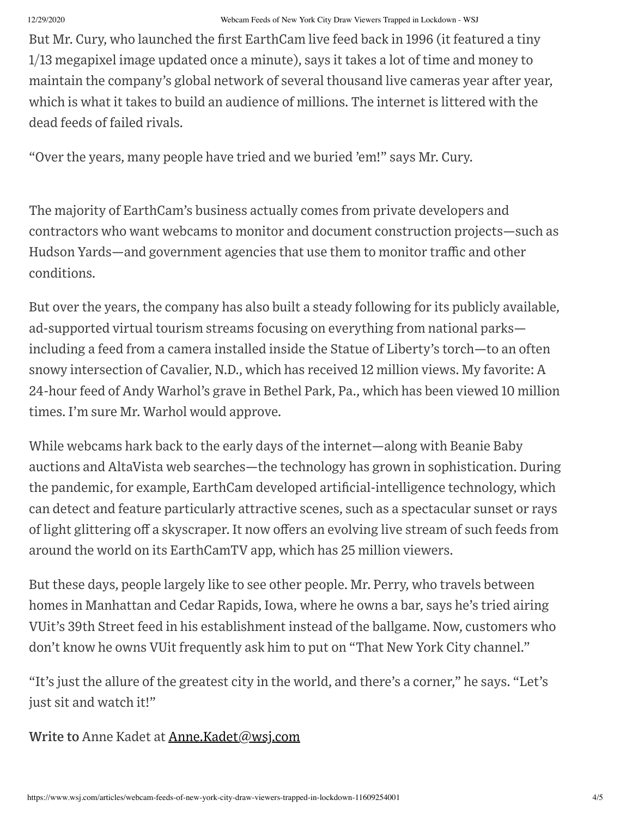But Mr. Cury, who launched the first EarthCam live feed back in 1996 (it featured a tiny 1/13 megapixel image updated once a minute), says it takes a lot of time and money to maintain the company's global network of several thousand live cameras year after year, which is what it takes to build an audience of millions. The internet is littered with the dead feeds of failed rivals.

"Over the years, many people have tried and we buried 'em!" says Mr. Cury.

The majority of EarthCam's business actually comes from private developers and contractors who want webcams to monitor and document construction projects—such as Hudson Yards—and government agencies that use them to monitor traffic and other conditions.

But over the years, the company has also built a steady following for its publicly available, ad-supported virtual tourism streams focusing on everything from national parks including a feed from a camera installed inside the Statue of Liberty's torch—to an often snowy intersection of Cavalier, N.D., which has received 12 million views. My favorite: A 24-hour feed of Andy Warhol's grave in Bethel Park, Pa., which has been viewed 10 million times. I'm sure Mr. Warhol would approve.

While webcams hark back to the early days of the internet—along with Beanie Baby auctions and AltaVista web searches—the technology has grown in sophistication. During the pandemic, for example, EarthCam developed artificial-intelligence technology, which can detect and feature particularly attractive scenes, such as a spectacular sunset or rays of light glittering off a skyscraper. It now offers an evolving live stream of such feeds from around the world on its EarthCamTV app, which has 25 million viewers.

But these days, people largely like to see other people. Mr. Perry, who travels between homes in Manhattan and Cedar Rapids, Iowa, where he owns a bar, says he's tried airing VUit's 39th Street feed in his establishment instead of the ballgame. Now, customers who don't know he owns VUit frequently ask him to put on "That New York City channel."

"It's just the allure of the greatest city in the world, and there's a corner," he says. "Let's just sit and watch it!"

Write to Anne Kadet at Anne.Kadet@wsj.com